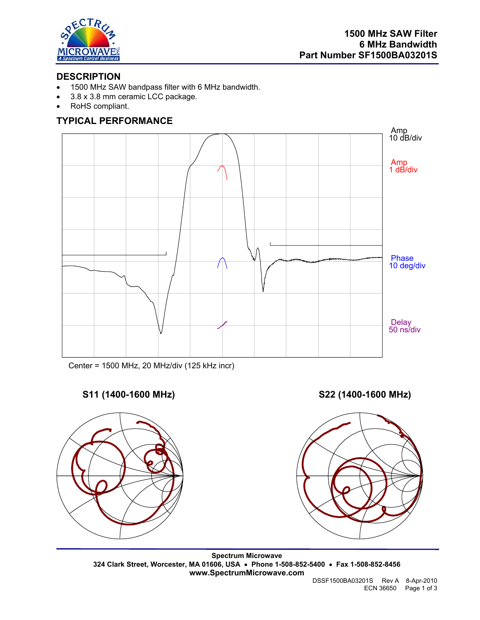

# **DESCRIPTION**

- 1500 MHz SAW bandpass filter with 6 MHz bandwidth.
- 3.8 x 3.8 mm ceramic LCC package.
- RoHS compliant.

# **TYPICAL PERFORMANCE**



Center = 1500 MHz, 20 MHz/div (125 kHz incr)

# **S11 (1400-1600 MHz) S22 (1400-1600 MHz)**



**Spectrum Microwave 324 Clark Street, Worcester, MA 01606, USA** • **Phone 1-508-852-5400** • **Fax 1-508-852-8456 www.SpectrumMicrowave.com**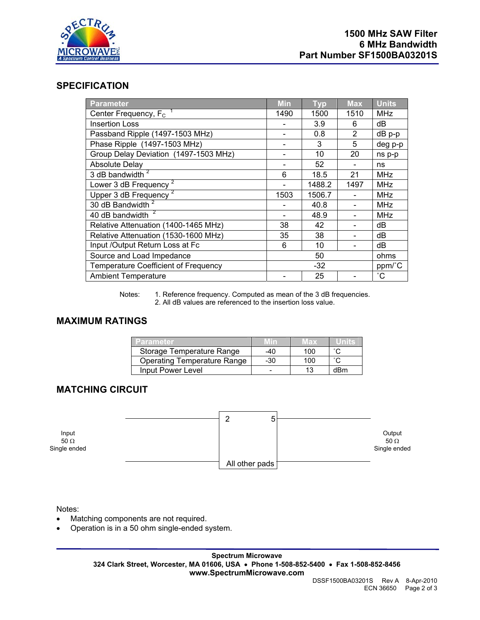

### **SPECIFICATION**

| <b>Parameter</b>                            | <b>Min</b> | <b>Typ</b> | <b>Max</b> | <b>Units</b> |
|---------------------------------------------|------------|------------|------------|--------------|
| Center Frequency, $F_c$ <sup>1</sup>        | 1490       | 1500       | 1510       | <b>MHz</b>   |
| <b>Insertion Loss</b>                       |            | 3.9        | 6          | dВ           |
| Passband Ripple (1497-1503 MHz)             |            | 0.8        | 2          | $dB$ p-p     |
| Phase Ripple (1497-1503 MHz)                |            | 3          | 5          | deg p-p      |
| Group Delay Deviation (1497-1503 MHz)       |            | 10         | 20         | ns p-p       |
| <b>Absolute Delay</b>                       |            | 52         |            | ns           |
| 3 dB bandwidth $2$                          | 6          | 18.5       | 21         | <b>MHz</b>   |
| Lower 3 dB Frequency                        |            | 1488.2     | 1497       | <b>MHz</b>   |
| Upper 3 dB Frequency <sup>2</sup>           | 1503       | 1506.7     |            | <b>MHz</b>   |
| 30 dB Bandwidth <sup>2</sup>                |            | 40.8       |            | <b>MHz</b>   |
| 40 dB bandwidth <sup>2</sup>                |            | 48.9       |            | <b>MHz</b>   |
| Relative Attenuation (1400-1465 MHz)        | 38         | 42         |            | dB           |
| Relative Attenuation (1530-1600 MHz)        | 35         | 38         |            | dB           |
| Input /Output Return Loss at Fc             | 6          | 10         |            | dB           |
| Source and Load Impedance                   | 50         |            | ohms       |              |
| <b>Temperature Coefficient of Frequency</b> | $-32$      |            | ppm/°C     |              |
| <b>Ambient Temperature</b>                  |            | 25         |            | $^{\circ}$ C |

Notes: 1. Reference frequency. Computed as mean of the 3 dB frequencies. 2. All dB values are referenced to the insertion loss value.

## **MAXIMUM RATINGS**

| Parameter                          | <b>MIT</b> | Max |        |
|------------------------------------|------------|-----|--------|
| Storage Temperature Range          | -40        | 100 | $\sim$ |
| <b>Operating Temperature Range</b> | -30        | 100 | $\sim$ |
| Input Power Level                  |            | 13  | dBm    |

## **MATCHING CIRCUIT**

|                                      | 5              |                                       |
|--------------------------------------|----------------|---------------------------------------|
| Input<br>$50 \Omega$<br>Single ended |                | Output<br>$50 \Omega$<br>Single ended |
|                                      | All other pads |                                       |

Notes:

- Matching components are not required.
- Operation is in a 50 ohm single-ended system.

**Spectrum Microwave 324 Clark Street, Worcester, MA 01606, USA** • **Phone 1-508-852-5400** • **Fax 1-508-852-8456 www.SpectrumMicrowave.com**